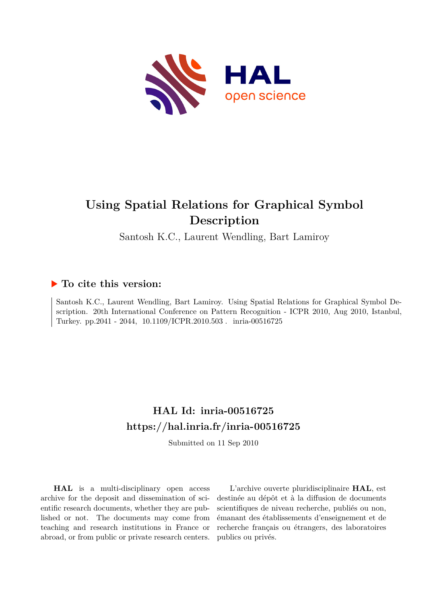

# **Using Spatial Relations for Graphical Symbol Description**

Santosh K.C., Laurent Wendling, Bart Lamiroy

### **To cite this version:**

Santosh K.C., Laurent Wendling, Bart Lamiroy. Using Spatial Relations for Graphical Symbol Description. 20th International Conference on Pattern Recognition - ICPR 2010, Aug 2010, Istanbul, Turkey. pp.2041 - 2044, 10.1109/ICPR.2010.503 . inria-00516725

## **HAL Id: inria-00516725 <https://hal.inria.fr/inria-00516725>**

Submitted on 11 Sep 2010

**HAL** is a multi-disciplinary open access archive for the deposit and dissemination of scientific research documents, whether they are published or not. The documents may come from teaching and research institutions in France or abroad, or from public or private research centers.

L'archive ouverte pluridisciplinaire **HAL**, est destinée au dépôt et à la diffusion de documents scientifiques de niveau recherche, publiés ou non, émanant des établissements d'enseignement et de recherche français ou étrangers, des laboratoires publics ou privés.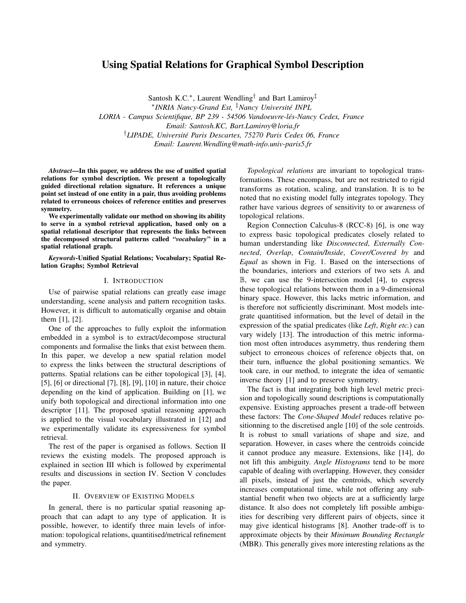### Using Spatial Relations for Graphical Symbol Description

Santosh K.C.<sup>\*</sup>, Laurent Wendling<sup>†</sup> and Bart Lamiroy<sup>‡</sup> ∗ *INRIA Nancy-Grand Est,* ‡*Nancy Universite INPL ´ LORIA - Campus Scientifique, BP 239 - 54506 Vandoeuvre-les-Nancy Cedex, France ´ Email: Santosh.KC, Bart.Lamiroy@loria.fr* †*LIPADE, Universite Paris Descartes, 75270 Paris Cedex 06, France ´ Email: Laurent.Wendling@math-info.univ-paris5.fr*

*Abstract*—In this paper, we address the use of unified spatial relations for symbol description. We present a topologically guided directional relation signature. It references a unique point set instead of one entity in a pair, thus avoiding problems related to erroneous choices of reference entities and preserves symmetry.

We experimentally validate our method on showing its ability to serve in a symbol retrieval application, based only on a spatial relational descriptor that represents the links between the decomposed structural patterns called *"vocabulary"* in a spatial relational graph.

*Keywords*-Unified Spatial Relations; Vocabulary; Spatial Relation Graphs; Symbol Retrieval

#### I. INTRODUCTION

Use of pairwise spatial relations can greatly ease image understanding, scene analysis and pattern recognition tasks. However, it is difficult to automatically organise and obtain them [1], [2].

One of the approaches to fully exploit the information embedded in a symbol is to extract/decompose structural components and formalise the links that exist between them. In this paper, we develop a new spatial relation model to express the links between the structural descriptions of patterns. Spatial relations can be either topological [3], [4], [5], [6] or directional [7], [8], [9], [10] in nature, their choice depending on the kind of application. Building on [1], we unify both topological and directional information into one descriptor [11]. The proposed spatial reasoning approach is applied to the visual vocabulary illustrated in [12] and we experimentally validate its expressiveness for symbol retrieval.

The rest of the paper is organised as follows. Section II reviews the existing models. The proposed approach is explained in section III which is followed by experimental results and discussions in section IV. Section V concludes the paper.

#### II. OVERVIEW OF EXISTING MODELS

In general, there is no particular spatial reasoning approach that can adapt to any type of application. It is possible, however, to identify three main levels of information: topological relations, quantitised/metrical refinement and symmetry.

*Topological relations* are invariant to topological transformations. These encompass, but are not restricted to rigid transforms as rotation, scaling, and translation. It is to be noted that no existing model fully integrates topology. They rather have various degrees of sensitivity to or awareness of topological relations.

Region Connection Calculus-8 (RCC-8) [6], is one way to express basic topological predicates closely related to human understanding like *Disconnected*, *Externally Connected*, *Overlap*, *Contain/Inside*, *Cover/Covered by* and *Equal* as shown in Fig. 1. Based on the intersections of the boundaries, interiors and exteriors of two sets A and B, we can use the 9-intersection model [4], to express these topological relations between them in a 9-dimensional binary space. However, this lacks metric information, and is therefore not sufficiently discriminant. Most models integrate quantitised information, but the level of detail in the expression of the spatial predicates (like *Left*, *Right etc.*) can vary widely [13]. The introduction of this metric information most often introduces asymmetry, thus rendering them subject to erroneous choices of reference objects that, on their turn, influence the global positioning semantics. We took care, in our method, to integrate the idea of semantic inverse theory [1] and to preserve symmetry.

The fact is that integrating both high level metric precision and topologically sound descriptions is computationally expensive. Existing approaches present a trade-off between these factors: The *Cone-Shaped Model* reduces relative positionning to the discretised angle [10] of the sole centroids. It is robust to small variations of shape and size, and separation. However, in cases where the centroids coincide it cannot produce any measure. Extensions, like [14], do not lift this ambiguity. *Angle Histograms* tend to be more capable of dealing with overlapping. However, they consider all pixels, instead of just the centroids, which severely increases computational time, while not offering any substantial benefit when two objects are at a sufficiently large distance. It also does not completely lift possible ambiguities for describing very different pairs of objects, since it may give identical histograms [8]. Another trade-off is to approximate objects by their *Minimum Bounding Rectangle* (MBR). This generally gives more interesting relations as the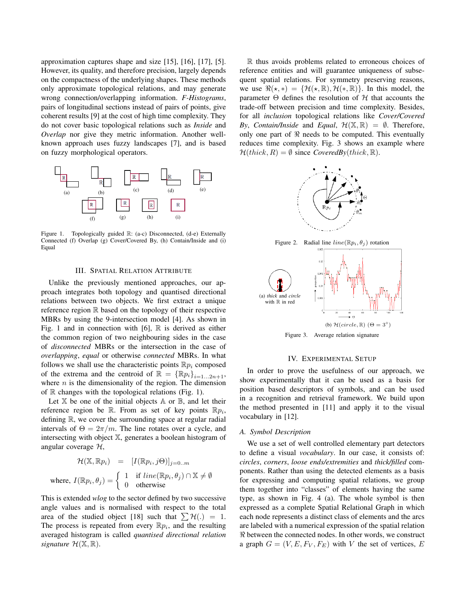approximation captures shape and size [15], [16], [17], [5]. However, its quality, and therefore precision, largely depends on the compactness of the underlying shapes. These methods only approximate topological relations, and may generate wrong connection/overlapping information. *F-Histograms*, pairs of longitudinal sections instead of pairs of points, give coherent results [9] at the cost of high time complexity. They do not cover basic topological relations such as *Inside* and *Overlap* nor give they metric information. Another wellknown approach uses fuzzy landscapes [7], and is based on fuzzy morphological operators.



Figure 1. Topologically guided R: (a-c) Disconnected, (d-e) Externally Connected (f) Overlap (g) Cover/Covered By, (h) Contain/Inside and (i) Equal

#### III. SPATIAL RELATION ATTRIBUTE

Unlike the previously mentioned approaches, our approach integrates both topology and quantised directional relations between two objects. We first extract a unique reference region R based on the topology of their respective MBRs by using the 9-intersection model [4]. As shown in Fig. 1 and in connection with [6],  $\mathbb R$  is derived as either the common region of two neighbouring sides in the case of *disconnected* MBRs or the intersection in the case of *overlapping*, *equal* or otherwise *connected* MBRs. In what follows we shall use the characteristic points  $\mathbb{R}p_i$  composed of the extrema and the centroid of  $\mathbb{R} = {\mathbb{R}p_i}_{i=1...2n+1}$ , where  $n$  is the dimensionality of the region. The dimension of  $\mathbb R$  changes with the topological relations (Fig. 1).

Let  $X$  be one of the initial objects  $A$  or  $B$ , and let their reference region be R. From as set of key points  $\mathbb{R}p_i$ , defining R, we cover the surrounding space at regular radial intervals of  $\Theta = 2\pi/m$ . The line rotates over a cycle, and intersecting with object X, generates a boolean histogram of angular coverage H,

$$
\mathcal{H}(\mathbb{X}, \mathbb{R}p_i) = [I(\mathbb{R}p_i, j\Theta)]_{j=0..m}
$$
  
where,  $I(\mathbb{R}p_i, \theta_j) = \begin{cases} 1 & \text{if } line(\mathbb{R}p_i, \theta_j) \cap \mathbb{X} \neq \emptyset \\ 0 & \text{otherwise} \end{cases}$ 

This is extended *wlog* to the sector defined by two successive angle values and is normalised with respect to the total area of the studied object [18] such that  $\sum \mathcal{H}(\cdot) = 1$ . The process is repeated from every  $\mathbb{R} p_i$ , and the resulting averaged histogram is called *quantised directional relation signature*  $\mathcal{H}(\mathbb{X}, \mathbb{R})$ .

R thus avoids problems related to erroneous choices of reference entities and will guarantee uniqueness of subsequent spatial relations. For symmetry preserving reasons, we use  $\Re(\star, *) = {\mathcal{H}(\star, \mathbb{R}), \mathcal{H}(\star, \mathbb{R})}.$  In this model, the parameter  $\Theta$  defines the resolution of  $H$  that accounts the trade-off between precision and time complexity. Besides, for all *inclusion* topological relations like *Cover/Covered By*, *Contain/Inside* and *Equal*,  $\mathcal{H}(\mathbb{X}, \mathbb{R}) = \emptyset$ . Therefore, only one part of  $\Re$  needs to be computed. This eventually reduces time complexity. Fig. 3 shows an example where  $\mathcal{H}(thick, R) = \emptyset$  since *CoveredBy*(*thick*,  $\mathbb{R}$ ).



#### IV. EXPERIMENTAL SETUP

In order to prove the usefulness of our approach, we show experimentally that it can be used as a basis for position based descriptors of symbols, and can be used in a recognition and retrieval framework. We build upon the method presented in [11] and apply it to the visual vocabulary in [12].

#### *A. Symbol Description*

We use a set of well controlled elementary part detectors to define a visual *vocabulary*. In our case, it consists of: *circles*, *corners*, *loose ends/extremities* and *thick/filled* components. Rather than using the detected elements as a basis for expressing and computing spatial relations, we group them together into "classes" of elements having the same type, as shown in Fig. 4 (a). The whole symbol is then expressed as a complete Spatial Relational Graph in which each node represents a distinct class of elements and the arcs are labeled with a numerical expression of the spatial relation  $\Re$  between the connected nodes. In other words, we construct a graph  $G = (V, E, F_V, F_E)$  with V the set of vertices, E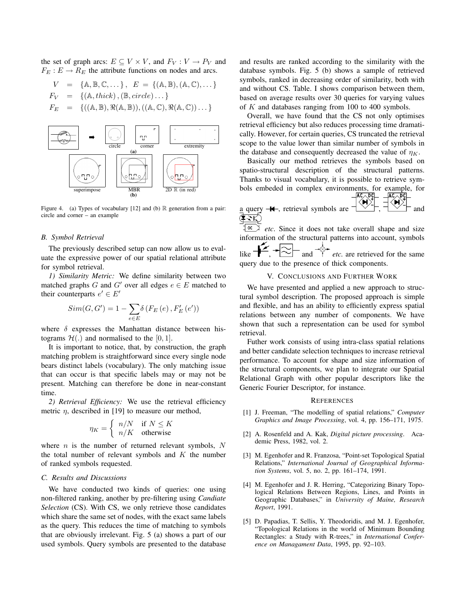the set of graph arcs:  $E \subseteq V \times V$ , and  $F_V : V \to P_V$  and  $F_E: E \to R_E$  the attribute functions on nodes and arcs.

$$
V = \{A, B, C, \dots\}, E = \{(A, B), (A, C), \dots\}
$$
  

$$
F_V = \{(A, thick), (B, circle) \dots\}
$$
  

$$
F_E = \{((A, B), \Re(A, B)), ((A, C), \Re(A, C)) \dots\}
$$



Figure 4. (a) Types of vocabulary [12] and (b) R generation from a pair: circle and corner – an example

#### *B. Symbol Retrieval*

The previously described setup can now allow us to evaluate the expressive power of our spatial relational attribute for symbol retrieval.

*1) Similarity Metric:* We define similarity between two matched graphs G and G' over all edges  $e \in E$  matched to their counterparts  $e' \in E'$ 

$$
Sim(G, G') = 1 - \sum_{e \in E} \delta(F_E(e), F'_E(e'))
$$

where  $\delta$  expresses the Manhattan distance between histograms  $\mathcal{H}(\cdot)$  and normalised to the [0, 1].

It is important to notice, that, by construction, the graph matching problem is straightforward since every single node bears distinct labels (vocabulary). The only matching issue that can occur is that specific labels may or may not be present. Matching can therefore be done in near-constant time.

*2) Retrieval Efficiency:* We use the retrieval efficiency metric  $\eta$ , described in [19] to measure our method,

$$
\eta_K = \begin{cases} n/N & \text{if } N \leq K \\ n/K & \text{otherwise} \end{cases}
$$

where  $n$  is the number of returned relevant symbols,  $N$ the total number of relevant symbols and  $K$  the number of ranked symbols requested.

#### *C. Results and Discussions*

We have conducted two kinds of queries: one using non-filtered ranking, another by pre-filtering using *Candiate Selection* (CS). With CS, we only retrieve those candidates which share the same set of nodes, with the exact same labels as the query. This reduces the time of matching to symbols that are obviously irrelevant. Fig. 5 (a) shows a part of our used symbols. Query symbols are presented to the database and results are ranked according to the similarity with the database symbols. Fig. 5 (b) shows a sample of retrieved symbols, ranked in decreasing order of similarity, both with and without CS. Table. I shows comparison between them, based on average results over 30 queries for varying values of  $K$  and databases ranging from 100 to 400 symbols.

Overall, we have found that the CS not only optimises retrieval efficiency but also reduces processing time dramatically. However, for certain queries, CS truncated the retrieval scope to the value lower than similar number of symbols in the database and consequently decreased the value of  $\eta_K$ .

Basically our method retrieves the symbols based on spatio-structural description of the structural patterns. Thanks to visual vocabulary, it is possible to retrieve symbols embeded in complex environments, for example, for  $\sqrt{AC}$ ,  $\sqrt{BC}$ ,  $\sqrt{AC}$ ,  $\sqrt{BC}$ 

a query 
$$
-
$$
**+**, retrieval symbols are  $\frac{|\langle \mathbf{H} \rangle^{\star}|}{|\langle \mathbf{H} \rangle|}$ , and

 $\frac{1}{e^{ct}}$  *etc*. Since it does not take overall shape and size information of the structural patterns into account, symbols like  $\leftarrow$ ,  $\leftarrow$  and  $\leftarrow$  *etc.* are retrieved for the same query due to the presence of thick components.

#### V. CONCLUSIONS AND FURTHER WORK

We have presented and applied a new approach to structural symbol description. The proposed approach is simple and flexible, and has an ability to efficiently express spatial relations between any number of components. We have shown that such a representation can be used for symbol retrieval.

Futher work consists of using intra-class spatial relations and better candidate selection techniques to increase retrieval performance. To account for shape and size information of the structural components, we plan to integrate our Spatial Relational Graph with other popular descriptors like the Generic Fourier Descriptor, for instance.

#### **REFERENCES**

- [1] J. Freeman, "The modelling of spatial relations," *Computer Graphics and Image Processing*, vol. 4, pp. 156–171, 1975.
- [2] A. Rosenfeld and A. Kak, *Digital picture processing*. Academic Press, 1982, vol. 2.
- [3] M. Egenhofer and R. Franzosa, "Point-set Topological Spatial Relations," *International Journal of Geographical Information Systems*, vol. 5, no. 2, pp. 161–174, 1991.
- [4] M. Egenhofer and J. R. Herring, "Categorizing Binary Topological Relations Between Regions, Lines, and Points in Geographic Databases," in *University of Maine, Research Report*, 1991.
- [5] D. Papadias, T. Sellis, Y. Theodoridis, and M. J. Egenhofer, "Topological Relations in the world of Minimum Bounding Rectangles: a Study with R-trees," in *International Conference on Managament Data*, 1995, pp. 92–103.